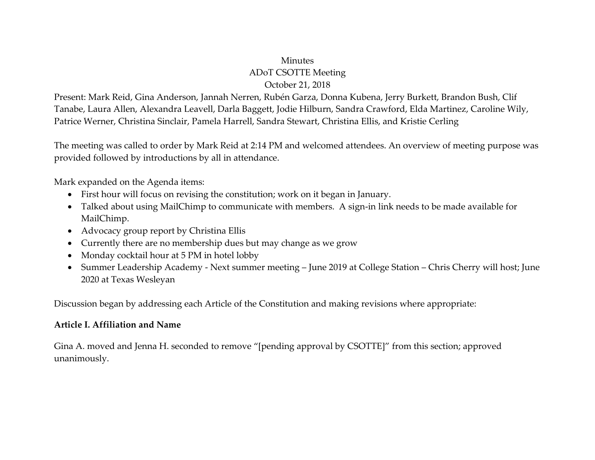### **Minutes** ADoT CSOTTE Meeting October 21, 2018

Present: Mark Reid, Gina Anderson, Jannah Nerren, Rubén Garza, Donna Kubena, Jerry Burkett, Brandon Bush, Clif Tanabe, Laura Allen, Alexandra Leavell, Darla Baggett, Jodie Hilburn, Sandra Crawford, Elda Martinez, Caroline Wily, Patrice Werner, Christina Sinclair, Pamela Harrell, Sandra Stewart, Christina Ellis, and Kristie Cerling

The meeting was called to order by Mark Reid at 2:14 PM and welcomed attendees. An overview of meeting purpose was provided followed by introductions by all in attendance.

Mark expanded on the Agenda items:

- First hour will focus on revising the constitution; work on it began in January.
- Talked about using MailChimp to communicate with members. A sign-in link needs to be made available for MailChimp.
- Advocacy group report by Christina Ellis
- Currently there are no membership dues but may change as we grow
- Monday cocktail hour at 5 PM in hotel lobby
- Summer Leadership Academy Next summer meeting June 2019 at College Station Chris Cherry will host; June 2020 at Texas Wesleyan

Discussion began by addressing each Article of the Constitution and making revisions where appropriate:

#### **Article I. Affiliation and Name**

Gina A. moved and Jenna H. seconded to remove "[pending approval by CSOTTE]" from this section; approved unanimously.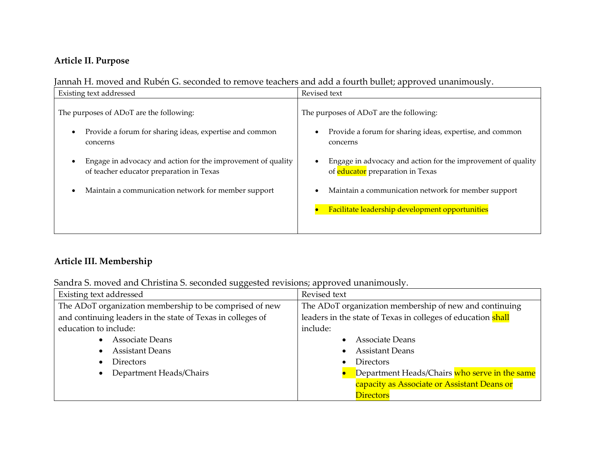# **Article II. Purpose**

Jannah H. moved and Rubén G. seconded to remove teachers and add a fourth bullet; approved unanimously.

| Existing text addressed                                                                                  | Revised text                                                                                            |
|----------------------------------------------------------------------------------------------------------|---------------------------------------------------------------------------------------------------------|
| The purposes of ADoT are the following:                                                                  | The purposes of ADoT are the following:                                                                 |
| Provide a forum for sharing ideas, expertise and common<br>concerns                                      | Provide a forum for sharing ideas, expertise, and common<br>concerns                                    |
| Engage in advocacy and action for the improvement of quality<br>of teacher educator preparation in Texas | Engage in advocacy and action for the improvement of quality<br>of <b>educator</b> preparation in Texas |
| Maintain a communication network for member support                                                      | Maintain a communication network for member support<br>Facilitate leadership development opportunities  |
|                                                                                                          |                                                                                                         |

## **Article III. Membership**

Sandra S. moved and Christina S. seconded suggested revisions; approved unanimously.

| Existing text addressed                                     | Revised text                                                 |
|-------------------------------------------------------------|--------------------------------------------------------------|
| The ADoT organization membership to be comprised of new     | The ADoT organization membership of new and continuing       |
| and continuing leaders in the state of Texas in colleges of | leaders in the state of Texas in colleges of education shall |
| education to include:                                       | include:                                                     |
| <b>Associate Deans</b><br>$\bullet$                         | Associate Deans                                              |
| <b>Assistant Deans</b>                                      | <b>Assistant Deans</b>                                       |
| <b>Directors</b>                                            | <b>Directors</b>                                             |
| Department Heads/Chairs                                     | Department Heads/Chairs who serve in the same                |
|                                                             | capacity as Associate or Assistant Deans or                  |
|                                                             | <b>Directors</b>                                             |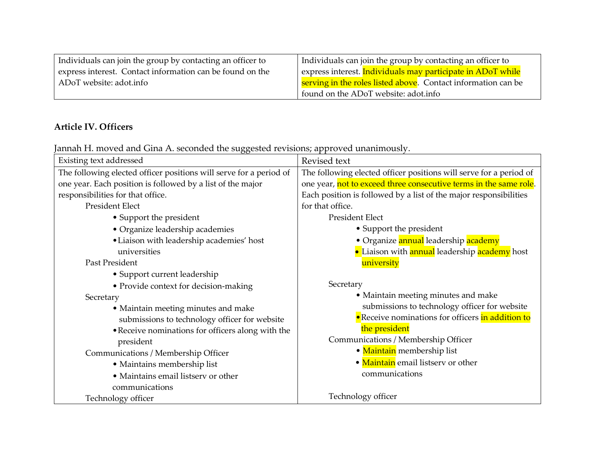| Individuals can join the group by contacting an officer to | Individuals can join the group by contacting an officer to           |
|------------------------------------------------------------|----------------------------------------------------------------------|
| express interest. Contact information can be found on the  | express interest. Individuals may participate in ADoT while          |
| ADoT website: adot.info                                    | <b>Serving in the roles listed above.</b> Contact information can be |
|                                                            | found on the ADoT website: adot.info                                 |

# **Article IV. Officers**

Jannah H. moved and Gina A. seconded the suggested revisions; approved unanimously.

| Existing text addressed                                            | Revised text                                                       |
|--------------------------------------------------------------------|--------------------------------------------------------------------|
| The following elected officer positions will serve for a period of | The following elected officer positions will serve for a period of |
| one year. Each position is followed by a list of the major         | one year, not to exceed three consecutive terms in the same role.  |
| responsibilities for that office.                                  | Each position is followed by a list of the major responsibilities  |
| <b>President Elect</b>                                             | for that office.                                                   |
| • Support the president                                            | <b>President Elect</b>                                             |
| • Organize leadership academies                                    | • Support the president                                            |
| • Liaison with leadership academies' host                          | • Organize annual leadership academy                               |
| universities                                                       | • Liaison with <b>annual</b> leadership <b>academy</b> host        |
| Past President                                                     | university                                                         |
| • Support current leadership                                       |                                                                    |
| • Provide context for decision-making                              | Secretary                                                          |
| Secretary                                                          | • Maintain meeting minutes and make                                |
| • Maintain meeting minutes and make                                | submissions to technology officer for website                      |
| submissions to technology officer for website                      | <b>•</b> Receive nominations for officers in addition to           |
| • Receive nominations for officers along with the                  | the president                                                      |
| president                                                          | Communications / Membership Officer                                |
| Communications / Membership Officer                                | • Maintain membership list                                         |
| • Maintains membership list                                        | • Maintain email listserv or other                                 |
| • Maintains email listsery or other                                | communications                                                     |
| communications                                                     |                                                                    |
| Technology officer                                                 | Technology officer                                                 |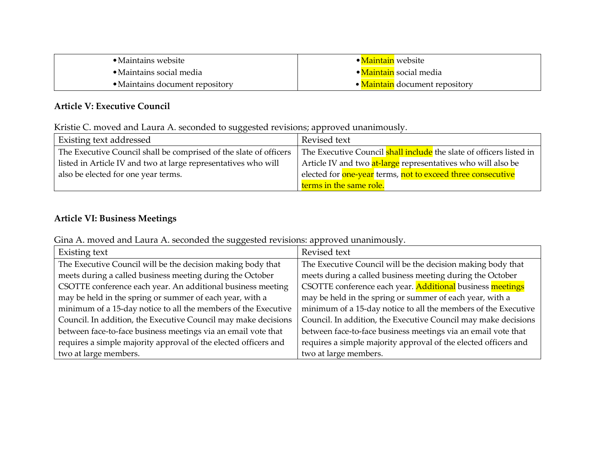| • Maintains website                     | ● <mark>Maintain</mark> website |
|-----------------------------------------|---------------------------------|
| $\bullet$ Maintains social media        | • Maintain social media         |
| $\bullet$ Maintains document repository | • Maintain document repository  |

### **Article V: Executive Council**

Kristie C. moved and Laura A. seconded to suggested revisions; approved unanimously.

| ,,,,,<br>Existing text addressed                                  | Revised text                                                                          |
|-------------------------------------------------------------------|---------------------------------------------------------------------------------------|
| The Executive Council shall be comprised of the slate of officers | The Executive Council <b>shall include</b> the slate of officers listed in            |
| listed in Article IV and two at large representatives who will    | Article IV and two at-large representatives who will also be                          |
| also be elected for one year terms.                               | elected for <mark>one-year</mark> terms, <mark>not to exceed three consecutive</mark> |
|                                                                   | terms in the same role.                                                               |

#### **Article VI: Business Meetings**

Gina A. moved and Laura A. seconded the suggested revisions: approved unanimously.

| Existing text                                                   | Revised text                                                    |
|-----------------------------------------------------------------|-----------------------------------------------------------------|
| The Executive Council will be the decision making body that     | The Executive Council will be the decision making body that     |
| meets during a called business meeting during the October       | meets during a called business meeting during the October       |
| CSOTTE conference each year. An additional business meeting     | CSOTTE conference each year. Additional business meetings       |
| may be held in the spring or summer of each year, with a        | may be held in the spring or summer of each year, with a        |
| minimum of a 15-day notice to all the members of the Executive  | minimum of a 15-day notice to all the members of the Executive  |
| Council. In addition, the Executive Council may make decisions  | Council. In addition, the Executive Council may make decisions  |
| between face-to-face business meetings via an email vote that   | between face-to-face business meetings via an email vote that   |
| requires a simple majority approval of the elected officers and | requires a simple majority approval of the elected officers and |
| two at large members.                                           | two at large members.                                           |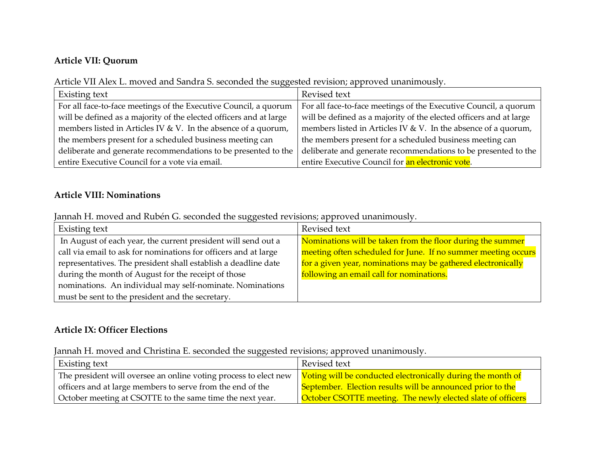#### **Article VII: Quorum**

Article VII Alex L. moved and Sandra S. seconded the suggested revision; approved unanimously.

| Existing text                                                      | Revised text                                                       |
|--------------------------------------------------------------------|--------------------------------------------------------------------|
| For all face-to-face meetings of the Executive Council, a quorum   | For all face-to-face meetings of the Executive Council, a quorum   |
| will be defined as a majority of the elected officers and at large | will be defined as a majority of the elected officers and at large |
| members listed in Articles IV & V. In the absence of a quorum,     | members listed in Articles IV & V. In the absence of a quorum,     |
| the members present for a scheduled business meeting can           | the members present for a scheduled business meeting can           |
| deliberate and generate recommendations to be presented to the     | deliberate and generate recommendations to be presented to the     |
| entire Executive Council for a vote via email.                     | entire Executive Council for an electronic vote.                   |

#### **Article VIII: Nominations**

Jannah H. moved and Rubén G. seconded the suggested revisions; approved unanimously.

| Existing text                                                   | Revised text                                                  |
|-----------------------------------------------------------------|---------------------------------------------------------------|
| In August of each year, the current president will send out a   | Nominations will be taken from the floor during the summer    |
| call via email to ask for nominations for officers and at large | meeting often scheduled for June. If no summer meeting occurs |
| representatives. The president shall establish a deadline date  | for a given year, nominations may be gathered electronically  |
| during the month of August for the receipt of those             | following an email call for nominations.                      |
| nominations. An individual may self-nominate. Nominations       |                                                               |
| must be sent to the president and the secretary.                |                                                               |

#### **Article IX: Officer Elections**

Jannah H. moved and Christina E. seconded the suggested revisions; approved unanimously.

| Existing text                                                                                                                              | Revised text                                                |
|--------------------------------------------------------------------------------------------------------------------------------------------|-------------------------------------------------------------|
| The president will oversee an online voting process to elect new $\frac{1}{1}$ Voting will be conducted electronically during the month of |                                                             |
| officers and at large members to serve from the end of the                                                                                 | September. Election results will be announced prior to the  |
| October meeting at CSOTTE to the same time the next year.                                                                                  | October CSOTTE meeting. The newly elected slate of officers |